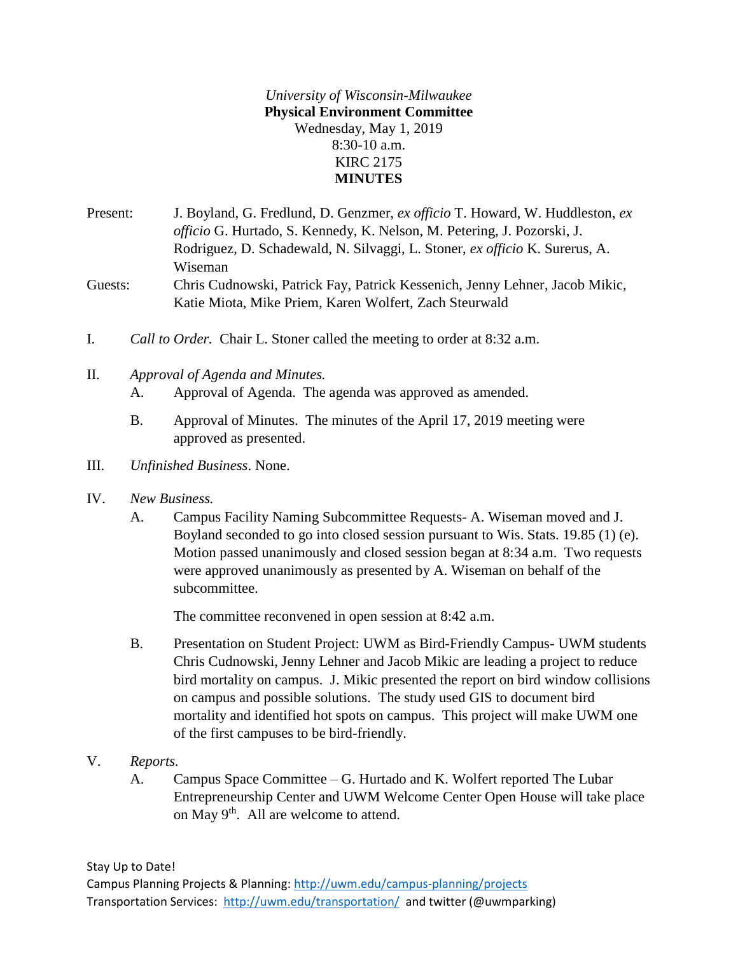*University of Wisconsin-Milwaukee* **Physical Environment Committee** Wednesday, May 1, 2019 8:30-10 a.m. KIRC 2175 **MINUTES**

Present: J. Boyland, G. Fredlund, D. Genzmer, *ex officio* T. Howard, W. Huddleston, *ex officio* G. Hurtado, S. Kennedy, K. Nelson, M. Petering, J. Pozorski, J. Rodriguez, D. Schadewald, N. Silvaggi, L. Stoner, *ex officio* K. Surerus, A. Wiseman Guests: Chris Cudnowski, Patrick Fay, Patrick Kessenich, Jenny Lehner, Jacob Mikic, Katie Miota, Mike Priem, Karen Wolfert, Zach Steurwald

- I. *Call to Order.* Chair L. Stoner called the meeting to order at 8:32 a.m.
- II. *Approval of Agenda and Minutes.*

A. Approval of Agenda. The agenda was approved as amended.

- B. Approval of Minutes. The minutes of the April 17, 2019 meeting were approved as presented.
- III. *Unfinished Business*. None.
- IV. *New Business.*
	- A. Campus Facility Naming Subcommittee Requests- A. Wiseman moved and J. Boyland seconded to go into closed session pursuant to Wis. Stats. 19.85 (1) (e). Motion passed unanimously and closed session began at 8:34 a.m. Two requests were approved unanimously as presented by A. Wiseman on behalf of the subcommittee.

The committee reconvened in open session at 8:42 a.m.

- B. Presentation on Student Project: UWM as Bird-Friendly Campus- UWM students Chris Cudnowski, Jenny Lehner and Jacob Mikic are leading a project to reduce bird mortality on campus. J. Mikic presented the report on bird window collisions on campus and possible solutions. The study used GIS to document bird mortality and identified hot spots on campus. This project will make UWM one of the first campuses to be bird-friendly.
- V. *Reports.*
	- A. Campus Space Committee G. Hurtado and K. Wolfert reported The Lubar Entrepreneurship Center and UWM Welcome Center Open House will take place on May  $9<sup>th</sup>$ . All are welcome to attend.